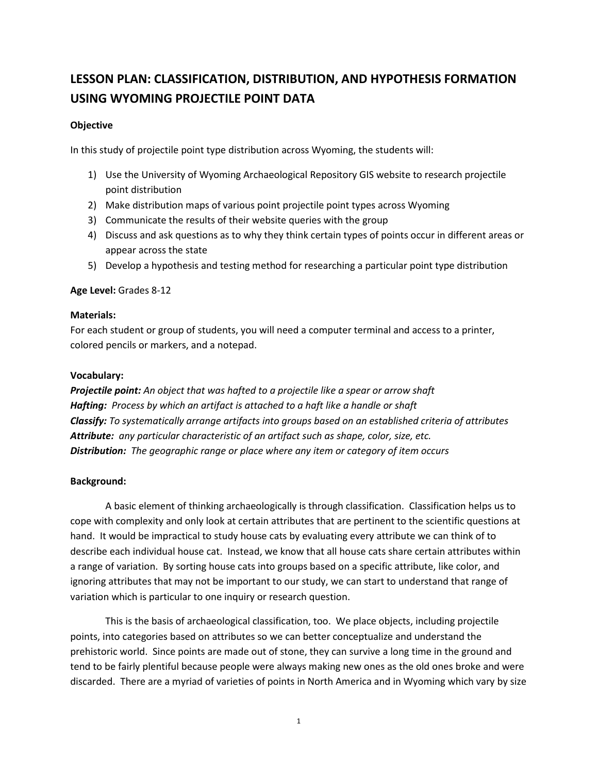# **LESSON PLAN: CLASSIFICATION, DISTRIBUTION, AND HYPOTHESIS FORMATION USING WYOMING PROJECTILE POINT DATA**

## **Objective**

In this study of projectile point type distribution across Wyoming, the students will:

- 1) Use the University of Wyoming Archaeological Repository GIS website to research projectile point distribution
- 2) Make distribution maps of various point projectile point types across Wyoming
- 3) Communicate the results of their website queries with the group
- 4) Discuss and ask questions as to why they think certain types of points occur in different areas or appear across the state
- 5) Develop a hypothesis and testing method for researching a particular point type distribution

## **Age Level:** Grades 8-12

#### **Materials:**

For each student or group of students, you will need a computer terminal and access to a printer, colored pencils or markers, and a notepad.

#### **Vocabulary:**

*Projectile point: An object that was hafted to a projectile like a spear or arrow shaft Hafting: Process by which an artifact is attached to a haft like a handle or shaft Classify: To systematically arrange artifacts into groups based on an established criteria of attributes Attribute: any particular characteristic of an artifact such as shape, color, size, etc. Distribution: The geographic range or place where any item or category of item occurs*

## **Background:**

A basic element of thinking archaeologically is through classification. Classification helps us to cope with complexity and only look at certain attributes that are pertinent to the scientific questions at hand. It would be impractical to study house cats by evaluating every attribute we can think of to describe each individual house cat. Instead, we know that all house cats share certain attributes within a range of variation. By sorting house cats into groups based on a specific attribute, like color, and ignoring attributes that may not be important to our study, we can start to understand that range of variation which is particular to one inquiry or research question.

This is the basis of archaeological classification, too. We place objects, including projectile points, into categories based on attributes so we can better conceptualize and understand the prehistoric world. Since points are made out of stone, they can survive a long time in the ground and tend to be fairly plentiful because people were always making new ones as the old ones broke and were discarded. There are a myriad of varieties of points in North America and in Wyoming which vary by size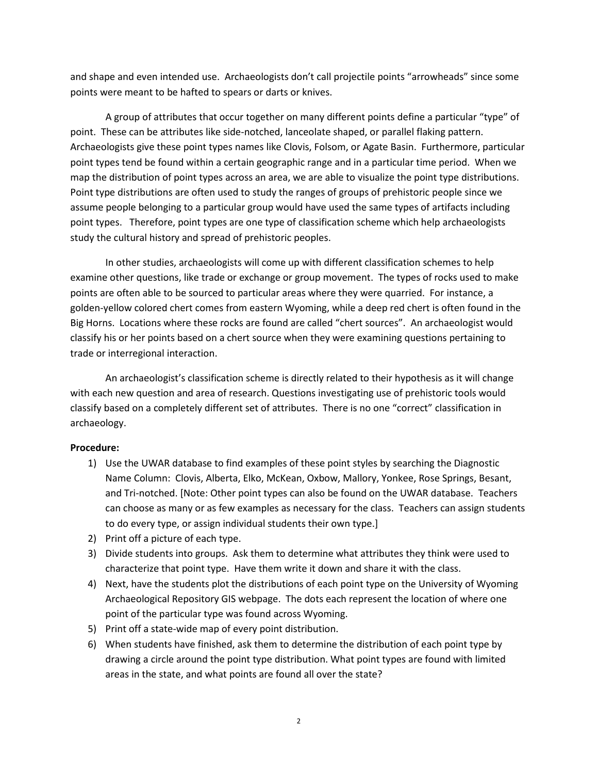and shape and even intended use. Archaeologists don't call projectile points "arrowheads" since some points were meant to be hafted to spears or darts or knives.

A group of attributes that occur together on many different points define a particular "type" of point. These can be attributes like side-notched, lanceolate shaped, or parallel flaking pattern. Archaeologists give these point types names like Clovis, Folsom, or Agate Basin. Furthermore, particular point types tend be found within a certain geographic range and in a particular time period. When we map the distribution of point types across an area, we are able to visualize the point type distributions. Point type distributions are often used to study the ranges of groups of prehistoric people since we assume people belonging to a particular group would have used the same types of artifacts including point types. Therefore, point types are one type of classification scheme which help archaeologists study the cultural history and spread of prehistoric peoples.

In other studies, archaeologists will come up with different classification schemes to help examine other questions, like trade or exchange or group movement. The types of rocks used to make points are often able to be sourced to particular areas where they were quarried. For instance, a golden-yellow colored chert comes from eastern Wyoming, while a deep red chert is often found in the Big Horns. Locations where these rocks are found are called "chert sources". An archaeologist would classify his or her points based on a chert source when they were examining questions pertaining to trade or interregional interaction.

An archaeologist's classification scheme is directly related to their hypothesis as it will change with each new question and area of research. Questions investigating use of prehistoric tools would classify based on a completely different set of attributes. There is no one "correct" classification in archaeology.

#### **Procedure:**

- 1) Use the UWAR database to find examples of these point styles by searching the Diagnostic Name Column: Clovis, Alberta, Elko, McKean, Oxbow, Mallory, Yonkee, Rose Springs, Besant, and Tri-notched. [Note: Other point types can also be found on the UWAR database. Teachers can choose as many or as few examples as necessary for the class. Teachers can assign students to do every type, or assign individual students their own type.]
- 2) Print off a picture of each type.
- 3) Divide students into groups. Ask them to determine what attributes they think were used to characterize that point type. Have them write it down and share it with the class.
- 4) Next, have the students plot the distributions of each point type on the University of Wyoming Archaeological Repository GIS webpage. The dots each represent the location of where one point of the particular type was found across Wyoming.
- 5) Print off a state-wide map of every point distribution.
- 6) When students have finished, ask them to determine the distribution of each point type by drawing a circle around the point type distribution. What point types are found with limited areas in the state, and what points are found all over the state?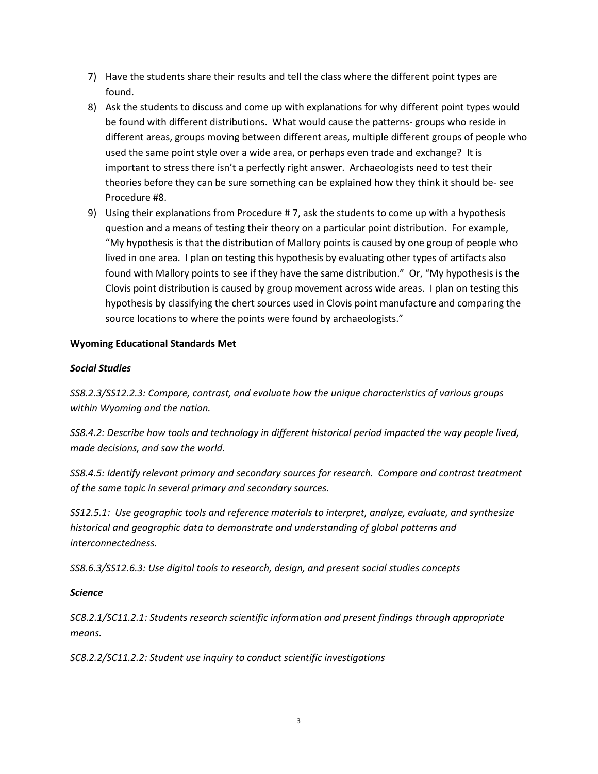- 7) Have the students share their results and tell the class where the different point types are found.
- 8) Ask the students to discuss and come up with explanations for why different point types would be found with different distributions. What would cause the patterns- groups who reside in different areas, groups moving between different areas, multiple different groups of people who used the same point style over a wide area, or perhaps even trade and exchange? It is important to stress there isn't a perfectly right answer. Archaeologists need to test their theories before they can be sure something can be explained how they think it should be- see Procedure #8.
- 9) Using their explanations from Procedure # 7, ask the students to come up with a hypothesis question and a means of testing their theory on a particular point distribution. For example, "My hypothesis is that the distribution of Mallory points is caused by one group of people who lived in one area. I plan on testing this hypothesis by evaluating other types of artifacts also found with Mallory points to see if they have the same distribution." Or, "My hypothesis is the Clovis point distribution is caused by group movement across wide areas. I plan on testing this hypothesis by classifying the chert sources used in Clovis point manufacture and comparing the source locations to where the points were found by archaeologists."

# **Wyoming Educational Standards Met**

# *Social Studies*

*SS8.2.3/SS12.2.3: Compare, contrast, and evaluate how the unique characteristics of various groups within Wyoming and the nation.* 

*SS8.4.2: Describe how tools and technology in different historical period impacted the way people lived, made decisions, and saw the world.*

*SS8.4.5: Identify relevant primary and secondary sources for research. Compare and contrast treatment of the same topic in several primary and secondary sources.*

*SS12.5.1: Use geographic tools and reference materials to interpret, analyze, evaluate, and synthesize historical and geographic data to demonstrate and understanding of global patterns and interconnectedness.*

*SS8.6.3/SS12.6.3: Use digital tools to research, design, and present social studies concepts*

## *Science*

*SC8.2.1/SC11.2.1: Students research scientific information and present findings through appropriate means.*

*SC8.2.2/SC11.2.2: Student use inquiry to conduct scientific investigations*